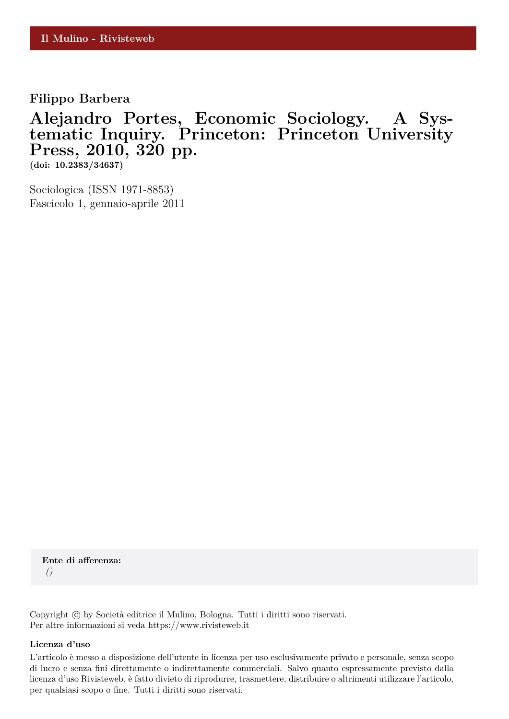**Filippo Barbera**

## **Alejandro Portes, Economic Sociology. A Systematic Inquiry. Princeton: Princeton University Press, 2010, 320 pp.**

**(doi: 10.2383/34637)**

Sociologica (ISSN 1971-8853) Fascicolo 1, gennaio-aprile 2011

**Ente di afferenza:** *()*

Copyright © by Società editrice il Mulino, Bologna. Tutti i diritti sono riservati. Per altre informazioni si veda https://www.rivisteweb.it

## **Licenza d'uso**

L'articolo è messo a disposizione dell'utente in licenza per uso esclusivamente privato e personale, senza scopo di lucro e senza fini direttamente o indirettamente commerciali. Salvo quanto espressamente previsto dalla licenza d'uso Rivisteweb, è fatto divieto di riprodurre, trasmettere, distribuire o altrimenti utilizzare l'articolo, per qualsiasi scopo o fine. Tutti i diritti sono riservati.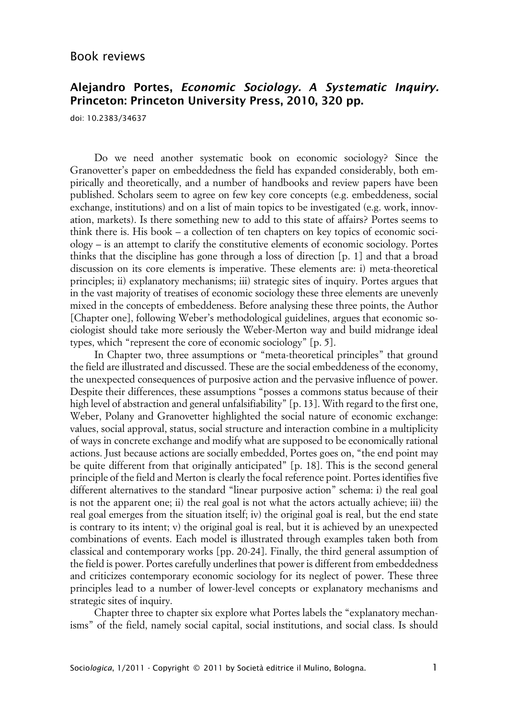## **Alejandro Portes, Economic Sociology. A Systematic Inquiry. Princeton: Princeton University Press, 2010, 320 pp.**

doi: 10.2383/34637

Do we need another systematic book on economic sociology? Since the Granovetter's paper on embeddedness the field has expanded considerably, both empirically and theoretically, and a number of handbooks and review papers have been published. Scholars seem to agree on few key core concepts (e.g. embeddeness, social exchange, institutions) and on a list of main topics to be investigated (e.g. work, innovation, markets). Is there something new to add to this state of affairs? Portes seems to think there is. His book – a collection of ten chapters on key topics of economic sociology – is an attempt to clarify the constitutive elements of economic sociology. Portes thinks that the discipline has gone through a loss of direction [p. 1] and that a broad discussion on its core elements is imperative. These elements are: i) meta-theoretical principles; ii) explanatory mechanisms; iii) strategic sites of inquiry. Portes argues that in the vast majority of treatises of economic sociology these three elements are unevenly mixed in the concepts of embeddeness. Before analysing these three points, the Author [Chapter one], following Weber's methodological guidelines, argues that economic sociologist should take more seriously the Weber-Merton way and build midrange ideal types, which "represent the core of economic sociology" [p. 5].

In Chapter two, three assumptions or "meta-theoretical principles" that ground the field are illustrated and discussed. These are the social embeddeness of the economy, the unexpected consequences of purposive action and the pervasive influence of power. Despite their differences, these assumptions "posses a commons status because of their high level of abstraction and general unfalsifiability" [p. 13]. With regard to the first one, Weber, Polany and Granovetter highlighted the social nature of economic exchange: values, social approval, status, social structure and interaction combine in a multiplicity of ways in concrete exchange and modify what are supposed to be economically rational actions. Just because actions are socially embedded, Portes goes on, "the end point may be quite different from that originally anticipated" [p. 18]. This is the second general principle of the field and Merton is clearly the focal reference point. Portes identifies five different alternatives to the standard "linear purposive action" schema: i) the real goal is not the apparent one; ii) the real goal is not what the actors actually achieve; iii) the real goal emerges from the situation itself; iv) the original goal is real, but the end state is contrary to its intent; v) the original goal is real, but it is achieved by an unexpected combinations of events. Each model is illustrated through examples taken both from classical and contemporary works [pp. 20-24]. Finally, the third general assumption of the field is power. Portes carefully underlines that power is different from embeddedness and criticizes contemporary economic sociology for its neglect of power. These three principles lead to a number of lower-level concepts or explanatory mechanisms and strategic sites of inquiry.

Chapter three to chapter six explore what Portes labels the "explanatory mechanisms" of the field, namely social capital, social institutions, and social class. Is should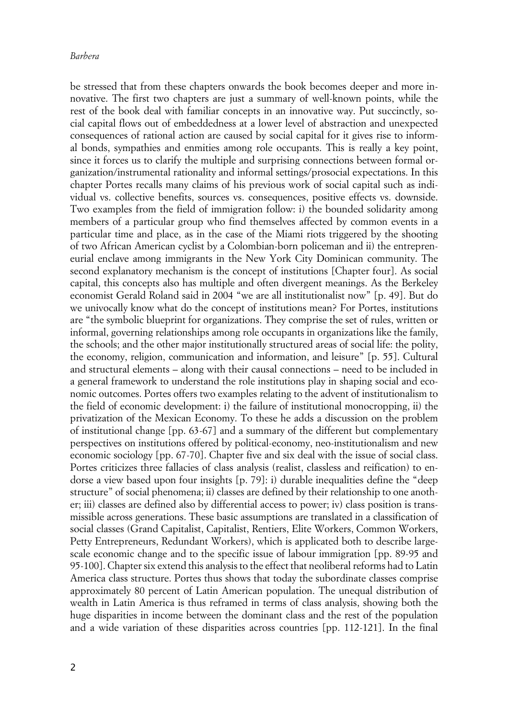be stressed that from these chapters onwards the book becomes deeper and more innovative. The first two chapters are just a summary of well-known points, while the rest of the book deal with familiar concepts in an innovative way. Put succinctly, social capital flows out of embeddedness at a lower level of abstraction and unexpected consequences of rational action are caused by social capital for it gives rise to informal bonds, sympathies and enmities among role occupants. This is really a key point, since it forces us to clarify the multiple and surprising connections between formal organization/instrumental rationality and informal settings/prosocial expectations. In this chapter Portes recalls many claims of his previous work of social capital such as individual vs. collective benefits, sources vs. consequences, positive effects vs. downside. Two examples from the field of immigration follow: i) the bounded solidarity among members of a particular group who find themselves affected by common events in a particular time and place, as in the case of the Miami riots triggered by the shooting of two African American cyclist by a Colombian-born policeman and ii) the entrepreneurial enclave among immigrants in the New York City Dominican community. The second explanatory mechanism is the concept of institutions [Chapter four]. As social capital, this concepts also has multiple and often divergent meanings. As the Berkeley economist Gerald Roland said in 2004 "we are all institutionalist now" [p. 49]. But do we univocally know what do the concept of institutions mean? For Portes, institutions are "the symbolic blueprint for organizations. They comprise the set of rules, written or informal, governing relationships among role occupants in organizations like the family, the schools; and the other major institutionally structured areas of social life: the polity, the economy, religion, communication and information, and leisure" [p. 55]. Cultural and structural elements – along with their causal connections – need to be included in a general framework to understand the role institutions play in shaping social and economic outcomes. Portes offers two examples relating to the advent of institutionalism to the field of economic development: i) the failure of institutional monocropping, ii) the privatization of the Mexican Economy. To these he adds a discussion on the problem of institutional change [pp. 63-67] and a summary of the different but complementary perspectives on institutions offered by political-economy, neo-institutionalism and new economic sociology [pp. 67-70]. Chapter five and six deal with the issue of social class. Portes criticizes three fallacies of class analysis (realist, classless and reification) to endorse a view based upon four insights [p. 79]: i) durable inequalities define the "deep structure" of social phenomena; ii) classes are defined by their relationship to one another; iii) classes are defined also by differential access to power; iv) class position is transmissible across generations. These basic assumptions are translated in a classification of social classes (Grand Capitalist, Capitalist, Rentiers, Elite Workers, Common Workers, Petty Entrepreneurs, Redundant Workers), which is applicated both to describe largescale economic change and to the specific issue of labour immigration [pp. 89-95 and 95-100]. Chapter six extend this analysis to the effect that neoliberal reforms had to Latin America class structure. Portes thus shows that today the subordinate classes comprise approximately 80 percent of Latin American population. The unequal distribution of wealth in Latin America is thus reframed in terms of class analysis, showing both the huge disparities in income between the dominant class and the rest of the population and a wide variation of these disparities across countries [pp. 112-121]. In the final